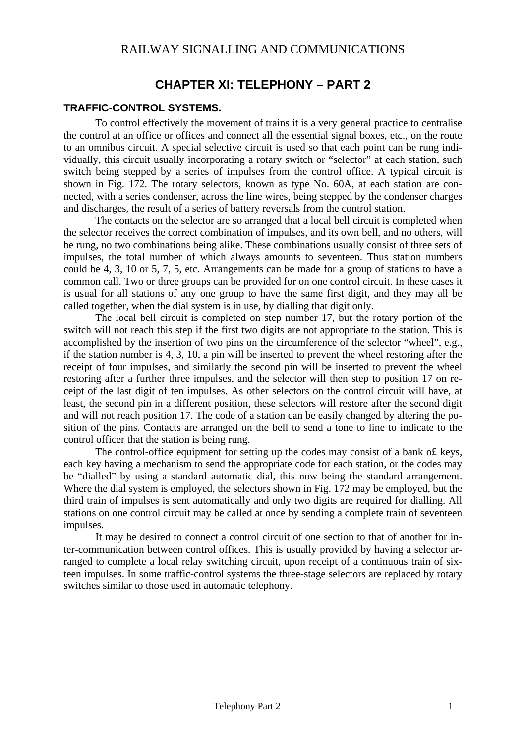# **CHAPTER XI: TELEPHONY – PART 2**

### **TRAFFIC-CONTROL SYSTEMS.**

To control effectively the movement of trains it is a very general practice to centralise the control at an office or offices and connect all the essential signal boxes, etc., on the route to an omnibus circuit. A special selective circuit is used so that each point can be rung individually, this circuit usually incorporating a rotary switch or "selector" at each station, such switch being stepped by a series of impulses from the control office. A typical circuit is shown in Fig. 172. The rotary selectors, known as type No. 60A, at each station are connected, with a series condenser, across the line wires, being stepped by the condenser charges and discharges, the result of a series of battery reversals from the control station.

The contacts on the selector are so arranged that a local bell circuit is completed when the selector receives the correct combination of impulses, and its own bell, and no others, will be rung, no two combinations being alike. These combinations usually consist of three sets of impulses, the total number of which always amounts to seventeen. Thus station numbers could be 4, 3, 10 or 5, 7, 5, etc. Arrangements can be made for a group of stations to have a common call. Two or three groups can be provided for on one control circuit. In these cases it is usual for all stations of any one group to have the same first digit, and they may all be called together, when the dial system is in use, by dialling that digit only.

The local bell circuit is completed on step number 17, but the rotary portion of the switch will not reach this step if the first two digits are not appropriate to the station. This is accomplished by the insertion of two pins on the circumference of the selector "wheel", e.g., if the station number is 4, 3, 10, a pin will be inserted to prevent the wheel restoring after the receipt of four impulses, and similarly the second pin will be inserted to prevent the wheel restoring after a further three impulses, and the selector will then step to position 17 on receipt of the last digit of ten impulses. As other selectors on the control circuit will have, at least, the second pin in a different position, these selectors will restore after the second digit and will not reach position 17. The code of a station can be easily changed by altering the position of the pins. Contacts are arranged on the bell to send a tone to line to indicate to the control officer that the station is being rung.

The control-office equipment for setting up the codes may consist of a bank o£ keys, each key having a mechanism to send the appropriate code for each station, or the codes may be "dialled" by using a standard automatic dial, this now being the standard arrangement. Where the dial system is employed, the selectors shown in Fig. 172 may be employed, but the third train of impulses is sent automatically and only two digits are required for dialling. All stations on one control circuit may be called at once by sending a complete train of seventeen impulses.

It may be desired to connect a control circuit of one section to that of another for inter-communication between control offices. This is usually provided by having a selector arranged to complete a local relay switching circuit, upon receipt of a continuous train of sixteen impulses. In some traffic-control systems the three-stage selectors are replaced by rotary switches similar to those used in automatic telephony.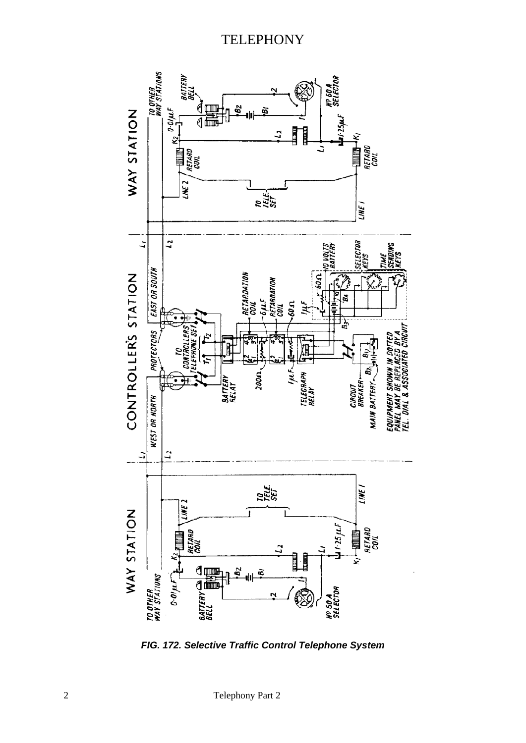

*FIG. 172. Selective Traffic Control Telephone System*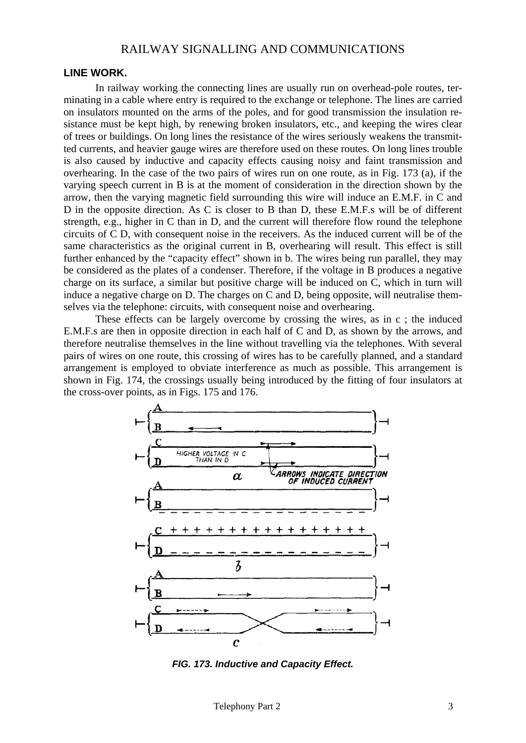### RAILWAY SIGNALLING AND COMMUNICATIONS

### **LINE WORK.**

In railway working the connecting lines are usually run on overhead-pole routes, terminating in a cable where entry is required to the exchange or telephone. The lines are carried on insulators mounted on the arms of the poles, and for good transmission the insulation resistance must be kept high, by renewing broken insulators, etc., and keeping the wires clear of trees or buildings. On long lines the resistance of the wires seriously weakens the transmitted currents, and heavier gauge wires are therefore used on these routes. On long lines trouble is also caused by inductive and capacity effects causing noisy and faint transmission and overhearing. In the case of the two pairs of wires run on one route, as in Fig. 173 (a), if the varying speech current in B is at the moment of consideration in the direction shown by the arrow, then the varying magnetic field surrounding this wire will induce an E.M.F. in C and D in the opposite direction. As C is closer to B than D, these E.M.F.s will be of different strength, e.g., higher in C than in D, and the current will therefore flow round the telephone circuits of C D, with consequent noise in the receivers. As the induced current will be of the same characteristics as the original current in B, overhearing will result. This effect is still further enhanced by the "capacity effect" shown in b. The wires being run parallel, they may be considered as the plates of a condenser. Therefore, if the voltage in B produces a negative charge on its surface, a similar but positive charge will be induced on C, which in turn will induce a negative charge on D. The charges on C and D, being opposite, will neutralise themselves via the telephone: circuits, with consequent noise and overhearing.

These effects can be largely overcome by crossing the wires, as in c ; the induced E.M.F.s are then in opposite direction in each half of C and D, as shown by the arrows, and therefore neutralise themselves in the line without travelling via the telephones. With several pairs of wires on one route, this crossing of wires has to be carefully planned, and a standard arrangement is employed to obviate interference as much as possible. This arrangement is shown in Fig. 174, the crossings usually being introduced by the fitting of four insulators at the cross-over points, as in Figs. 175 and 176.



*FIG. 173. Inductive and Capacity Effect.*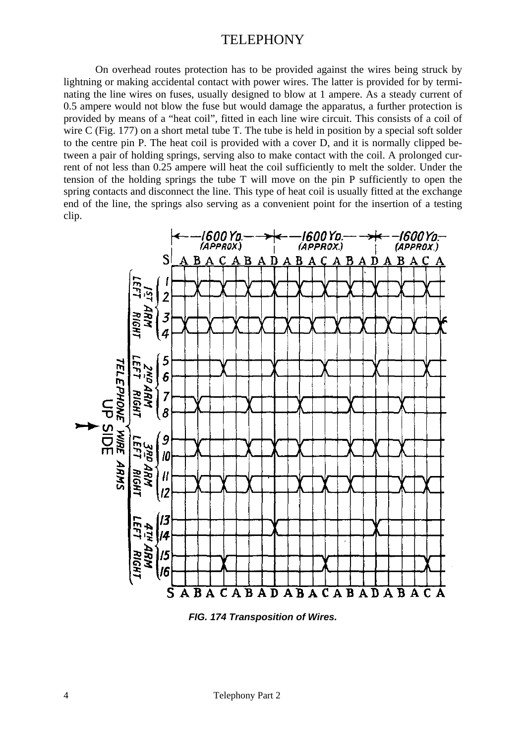On overhead routes protection has to be provided against the wires being struck by lightning or making accidental contact with power wires. The latter is provided for by terminating the line wires on fuses, usually designed to blow at 1 ampere. As a steady current of 0.5 ampere would not blow the fuse but would damage the apparatus, a further protection is provided by means of a "heat coil", fitted in each line wire circuit. This consists of a coil of wire C (Fig. 177) on a short metal tube T. The tube is held in position by a special soft solder to the centre pin P. The heat coil is provided with a cover D, and it is normally clipped between a pair of holding springs, serving also to make contact with the coil. A prolonged current of not less than 0.25 ampere will heat the coil sufficiently to melt the solder. Under the tension of the holding springs the tube T will move on the pin P sufficiently to open the spring contacts and disconnect the line. This type of heat coil is usually fitted at the exchange end of the line, the springs also serving as a convenient point for the insertion of a testing clip.



*FIG. 174 Transposition of Wires.*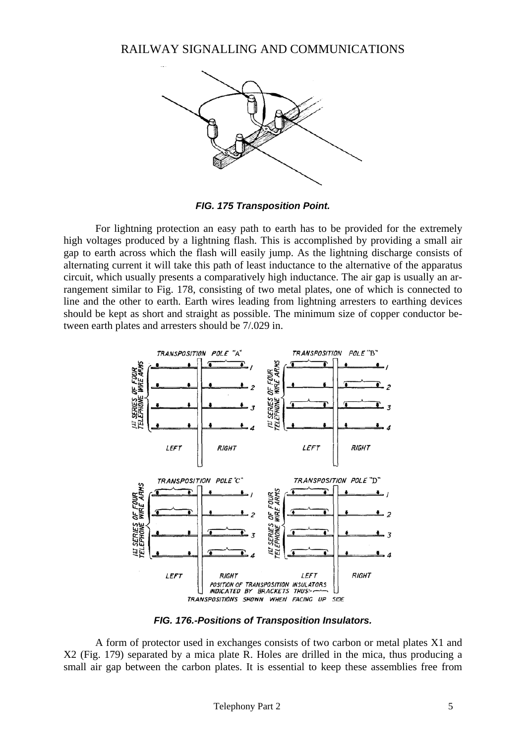RAILWAY SIGNALLING AND COMMUNICATIONS



*FIG. 175 Transposition Point.* 

For lightning protection an easy path to earth has to be provided for the extremely high voltages produced by a lightning flash. This is accomplished by providing a small air gap to earth across which the flash will easily jump. As the lightning discharge consists of alternating current it will take this path of least inductance to the alternative of the apparatus circuit, which usually presents a comparatively high inductance. The air gap is usually an arrangement similar to Fig. 178, consisting of two metal plates, one of which is connected to line and the other to earth. Earth wires leading from lightning arresters to earthing devices should be kept as short and straight as possible. The minimum size of copper conductor between earth plates and arresters should be 7/.029 in.



*FIG. 176.-Positions of Transposition Insulators.* 

A form of protector used in exchanges consists of two carbon or metal plates X1 and X2 (Fig. 179) separated by a mica plate R. Holes are drilled in the mica, thus producing a small air gap between the carbon plates. It is essential to keep these assemblies free from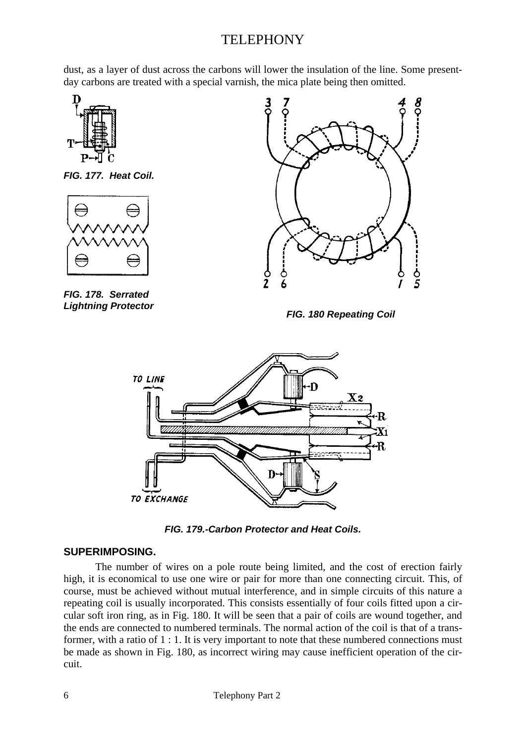dust, as a layer of dust across the carbons will lower the insulation of the line. Some presentday carbons are treated with a special varnish, the mica plate being then omitted.







*FIG. 178. Serrated* 



*Lightning Protector FIG. 180 Repeating Coil* 



*FIG. 179.-Carbon Protector and Heat Coils.* 

### **SUPERIMPOSING.**

The number of wires on a pole route being limited, and the cost of erection fairly high, it is economical to use one wire or pair for more than one connecting circuit. This, of course, must be achieved without mutual interference, and in simple circuits of this nature a repeating coil is usually incorporated. This consists essentially of four coils fitted upon a circular soft iron ring, as in Fig. 180. It will be seen that a pair of coils are wound together, and the ends are connected to numbered terminals. The normal action of the coil is that of a transformer, with a ratio of 1 : 1. It is very important to note that these numbered connections must be made as shown in Fig. 180, as incorrect wiring may cause inefficient operation of the circuit.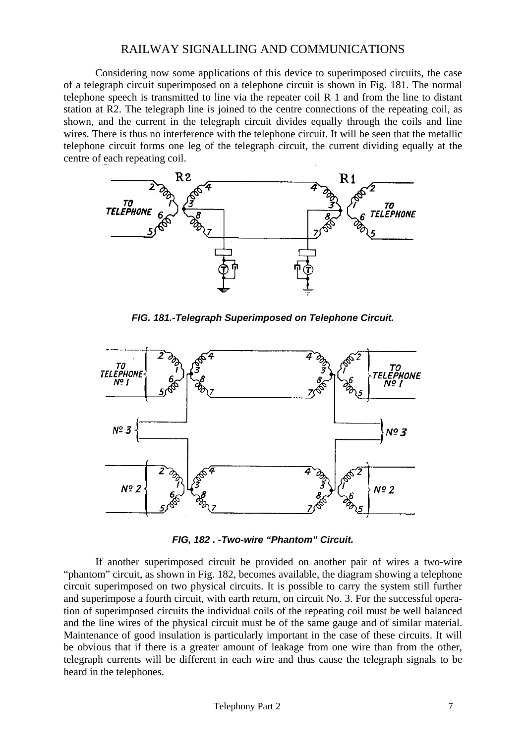### RAILWAY SIGNALLING AND COMMUNICATIONS

Considering now some applications of this device to superimposed circuits, the case of a telegraph circuit superimposed on a telephone circuit is shown in Fig. 181. The normal telephone speech is transmitted to line via the repeater coil R 1 and from the line to distant station at R2. The telegraph line is joined to the centre connections of the repeating coil, as shown, and the current in the telegraph circuit divides equally through the coils and line wires. There is thus no interference with the telephone circuit. It will be seen that the metallic telephone circuit forms one leg of the telegraph circuit, the current dividing equally at the centre of each repeating coil.



*FIG. 181.-Telegraph Superimposed on Telephone Circuit.* 



*FIG, 182 . -Two-wire "Phantom" Circuit.* 

If another superimposed circuit be provided on another pair of wires a two-wire "phantom" circuit, as shown in Fig. 182, becomes available, the diagram showing a telephone circuit superimposed on two physical circuits. It is possible to carry the system still further and superimpose a fourth circuit, with earth return, on circuit No. 3. For the successful operation of superimposed circuits the individual coils of the repeating coil must be well balanced and the line wires of the physical circuit must be of the same gauge and of similar material. Maintenance of good insulation is particularly important in the case of these circuits. It will be obvious that if there is a greater amount of leakage from one wire than from the other, telegraph currents will be different in each wire and thus cause the telegraph signals to be heard in the telephones.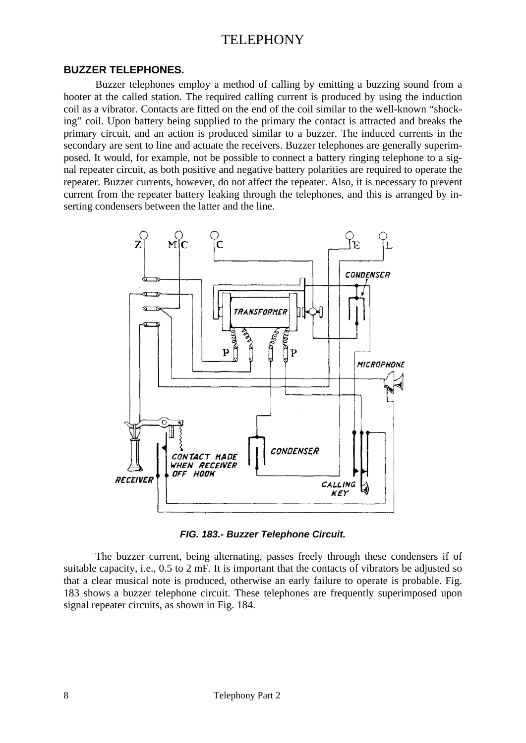#### **BUZZER TELEPHONES.**

Buzzer telephones employ a method of calling by emitting a buzzing sound from a hooter at the called station. The required calling current is produced by using the induction coil as a vibrator. Contacts are fitted on the end of the coil similar to the well-known "shocking" coil. Upon battery being supplied to the primary the contact is attracted and breaks the primary circuit, and an action is produced similar to a buzzer. The induced currents in the secondary are sent to line and actuate the receivers. Buzzer telephones are generally superimposed. It would, for example, not be possible to connect a battery ringing telephone to a signal repeater circuit, as both positive and negative battery polarities are required to operate the repeater. Buzzer currents, however, do not affect the repeater. Also, it is necessary to prevent current from the repeater battery leaking through the telephones, and this is arranged by inserting condensers between the latter and the line.



*FIG. 183.- Buzzer Telephone Circuit.* 

The buzzer current, being alternating, passes freely through these condensers if of suitable capacity, i.e., 0.5 to 2 mF. It is important that the contacts of vibrators be adjusted so that a clear musical note is produced, otherwise an early failure to operate is probable. Fig. 183 shows a buzzer telephone circuit. These telephones are frequently superimposed upon signal repeater circuits, as shown in Fig. 184.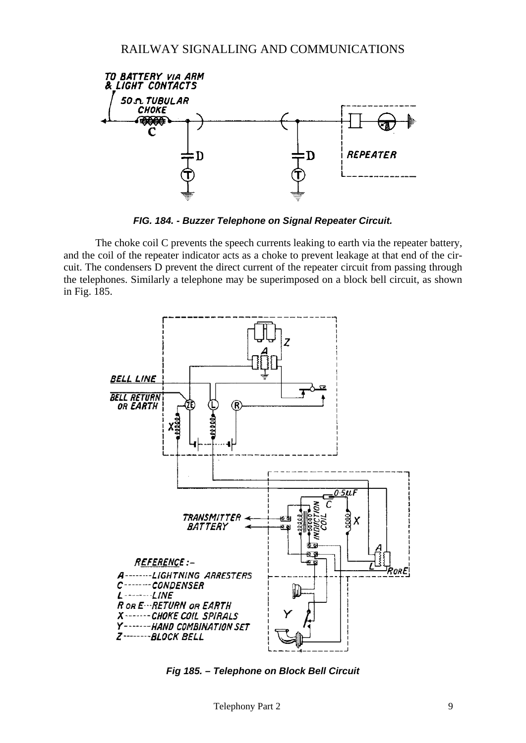

*FIG. 184. - Buzzer Telephone on Signal Repeater Circuit.* 

The choke coil C prevents the speech currents leaking to earth via the repeater battery, and the coil of the repeater indicator acts as a choke to prevent leakage at that end of the circuit. The condensers D prevent the direct current of the repeater circuit from passing through the telephones. Similarly a telephone may be superimposed on a block bell circuit, as shown in Fig. 185.



*Fig 185. – Telephone on Block Bell Circuit*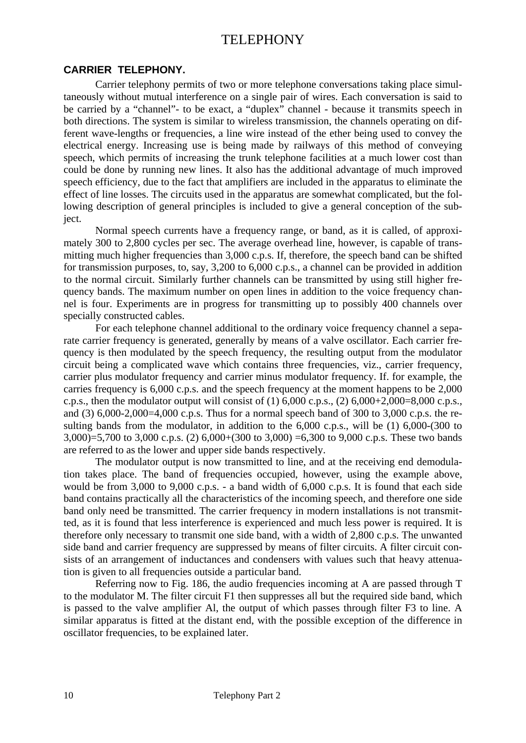#### **CARRIER TELEPHONY.**

Carrier telephony permits of two or more telephone conversations taking place simultaneously without mutual interference on a single pair of wires. Each conversation is said to be carried by a "channel"- to be exact, a "duplex" channel - because it transmits speech in both directions. The system is similar to wireless transmission, the channels operating on different wave-lengths or frequencies, a line wire instead of the ether being used to convey the electrical energy. Increasing use is being made by railways of this method of conveying speech, which permits of increasing the trunk telephone facilities at a much lower cost than could be done by running new lines. It also has the additional advantage of much improved speech efficiency, due to the fact that amplifiers are included in the apparatus to eliminate the effect of line losses. The circuits used in the apparatus are somewhat complicated, but the following description of general principles is included to give a general conception of the subject.

Normal speech currents have a frequency range, or band, as it is called, of approximately 300 to 2,800 cycles per sec. The average overhead line, however, is capable of transmitting much higher frequencies than 3,000 c.p.s. If, therefore, the speech band can be shifted for transmission purposes, to, say, 3,200 to 6,000 c.p.s., a channel can be provided in addition to the normal circuit. Similarly further channels can be transmitted by using still higher frequency bands. The maximum number on open lines in addition to the voice frequency channel is four. Experiments are in progress for transmitting up to possibly 400 channels over specially constructed cables.

For each telephone channel additional to the ordinary voice frequency channel a separate carrier frequency is generated, generally by means of a valve oscillator. Each carrier frequency is then modulated by the speech frequency, the resulting output from the modulator circuit being a complicated wave which contains three frequencies, viz., carrier frequency, carrier plus modulator frequency and carrier minus modulator frequency. If. for example, the carries frequency is 6,000 c.p.s. and the speech frequency at the moment happens to be 2,000 c.p.s., then the modulator output will consist of (1)  $6,000$  c.p.s., (2)  $6,000+2,000=8,000$  c.p.s., and (3)  $6,000-2,000=4,000$  c.p.s. Thus for a normal speech band of 300 to 3,000 c.p.s. the resulting bands from the modulator, in addition to the 6,000 c.p.s., will be (1) 6,000-(300 to 3,000)=5,700 to 3,000 c.p.s. (2)  $6,000+(300 \text{ to } 3,000)$  =6,300 to 9,000 c.p.s. These two bands are referred to as the lower and upper side bands respectively.

The modulator output is now transmitted to line, and at the receiving end demodulation takes place. The band of frequencies occupied, however, using the example above, would be from 3,000 to 9,000 c.p.s. - a band width of 6,000 c.p.s. It is found that each side band contains practically all the characteristics of the incoming speech, and therefore one side band only need be transmitted. The carrier frequency in modern installations is not transmitted, as it is found that less interference is experienced and much less power is required. It is therefore only necessary to transmit one side band, with a width of 2,800 c.p.s. The unwanted side band and carrier frequency are suppressed by means of filter circuits. A filter circuit consists of an arrangement of inductances and condensers with values such that heavy attenuation is given to all frequencies outside a particular band.

Referring now to Fig. 186, the audio frequencies incoming at A are passed through T to the modulator M. The filter circuit F1 then suppresses all but the required side band, which is passed to the valve amplifier Al, the output of which passes through filter F3 to line. A similar apparatus is fitted at the distant end, with the possible exception of the difference in oscillator frequencies, to be explained later.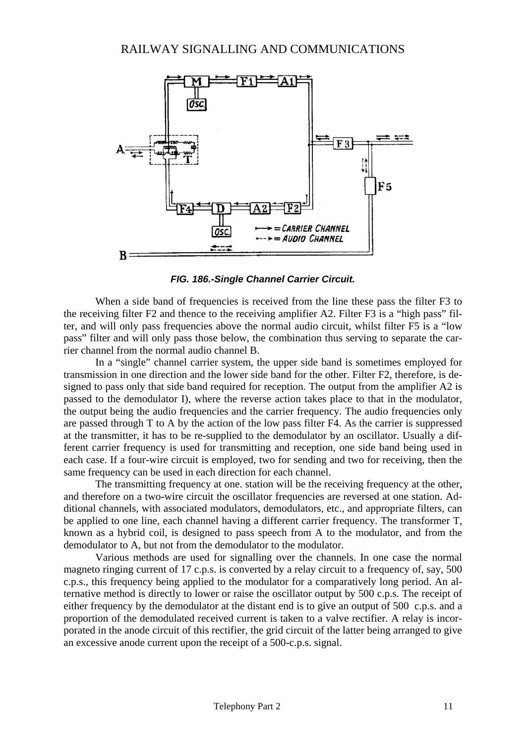

*FIG. 186.-Single Channel Carrier Circuit.* 

When a side band of frequencies is received from the line these pass the filter F3 to the receiving filter F2 and thence to the receiving amplifier A2. Filter F3 is a "high pass" filter, and will only pass frequencies above the normal audio circuit, whilst filter F5 is a "low pass" filter and will only pass those below, the combination thus serving to separate the carrier channel from the normal audio channel B.

In a "single" channel carrier system, the upper side band is sometimes employed for transmission in one direction and the lower side band for the other. Filter F2, therefore, is designed to pass only that side band required for reception. The output from the amplifier A2 is passed to the demodulator I), where the reverse action takes place to that in the modulator, the output being the audio frequencies and the carrier frequency. The audio frequencies only are passed through T to A by the action of the low pass filter F4. As the carrier is suppressed at the transmitter, it has to be re-supplied to the demodulator by an oscillator. Usually a different carrier frequency is used for transmitting and reception, one side band being used in each case. If a four-wire circuit is employed, two for sending and two for receiving, then the same frequency can be used in each direction for each channel.

The transmitting frequency at one. station will be the receiving frequency at the other, and therefore on a two-wire circuit the oscillator frequencies are reversed at one station. Additional channels, with associated modulators, demodulators, etc., and appropriate filters, can be applied to one line, each channel having a different carrier frequency. The transformer T, known as a hybrid coil, is designed to pass speech from A to the modulator, and from the demodulator to A, but not from the demodulator to the modulator.

Various methods are used for signalling over the channels. In one case the normal magneto ringing current of 17 c.p.s. is converted by a relay circuit to a frequency of, say, 500 c.p.s., this frequency being applied to the modulator for a comparatively long period. An alternative method is directly to lower or raise the oscillator output by 500 c.p.s. The receipt of either frequency by the demodulator at the distant end is to give an output of 500 c.p.s. and a proportion of the demodulated received current is taken to a valve rectifier. A relay is incorporated in the anode circuit of this rectifier, the grid circuit of the latter being arranged to give an excessive anode current upon the receipt of a 500-c.p.s. signal.